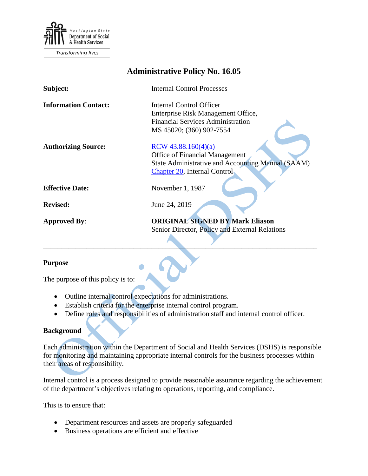

**Transforming lives** 

| <b>Administrative Policy No. 16.05</b> |                                                   |
|----------------------------------------|---------------------------------------------------|
| Subject:                               | <b>Internal Control Processes</b>                 |
| <b>Information Contact:</b>            | Internal Control Officer                          |
|                                        | Enterprise Risk Management Office,                |
|                                        | <b>Financial Services Administration</b>          |
|                                        | MS 45020; (360) 902-7554                          |
| <b>Authorizing Source:</b>             | RCW 43.88.160(4)(a)                               |
|                                        | <b>Office of Financial Management</b>             |
|                                        | State Administrative and Accounting Manual (SAAM) |
|                                        | Chapter 20, Internal Control,                     |
|                                        |                                                   |
| <b>Effective Date:</b>                 | November 1, 1987                                  |
| <b>Revised:</b>                        | June 24, 2019                                     |
|                                        |                                                   |
| <b>Approved By:</b>                    | <b>ORIGINAL SIGNED BY Mark Eliason</b>            |
|                                        | Senior Director, Policy and External Relations    |
|                                        |                                                   |

#### **Purpose**

The purpose of this policy is to:

- Outline internal control expectations for administrations.
- Establish criteria for the enterprise internal control program.
- Define roles and responsibilities of administration staff and internal control officer.

 $\mathcal{L}$  , and the contract of the contract of the contract of the contract of the contract of the contract of the contract of the contract of the contract of the contract of the contract of the contract of the contract o

#### **Background**

Each administration within the Department of Social and Health Services (DSHS) is responsible for monitoring and maintaining appropriate internal controls for the business processes within their areas of responsibility.

Internal control is a process designed to provide reasonable assurance regarding the achievement of the department's objectives relating to operations, reporting, and compliance.

This is to ensure that:

- Department resources and assets are properly safeguarded
- Business operations are efficient and effective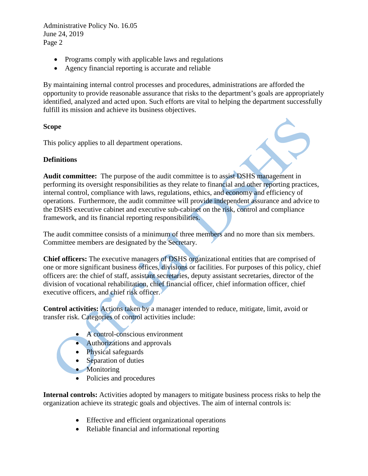Administrative Policy No. 16.05 June 24, 2019 Page 2

- Programs comply with applicable laws and regulations
- Agency financial reporting is accurate and reliable

By maintaining internal control processes and procedures, administrations are afforded the opportunity to provide reasonable assurance that risks to the department's goals are appropriately identified, analyzed and acted upon. Such efforts are vital to helping the department successfully fulfill its mission and achieve its business objectives.

## **Scope**

This policy applies to all department operations.

## **Definitions**



**Audit committee:** The purpose of the audit committee is to assist DSHS management in performing its oversight responsibilities as they relate to financial and other reporting practices, internal control, compliance with laws, regulations, ethics, and economy and efficiency of operations. Furthermore, the audit committee will provide independent assurance and advice to the DSHS executive cabinet and executive sub-cabinet on the risk, control and compliance framework, and its financial reporting responsibilities.

The audit committee consists of a minimum of three members and no more than six members. Committee members are designated by the Secretary.

**Chief officers:** The executive managers of DSHS organizational entities that are comprised of one or more significant business offices, divisions or facilities. For purposes of this policy, chief officers are: the chief of staff, assistant secretaries, deputy assistant secretaries, director of the division of vocational rehabilitation, chief financial officer, chief information officer, chief executive officers, and chief risk officer.

**Control activities:** Actions taken by a manager intended to reduce, mitigate, limit, avoid or transfer risk. Categories of control activities include:

- A control-conscious environment
- Authorizations and approvals
- Physical safeguards
- Separation of duties
- Monitoring
- Policies and procedures

**Internal controls:** Activities adopted by managers to mitigate business process risks to help the organization achieve its strategic goals and objectives. The aim of internal controls is:

- Effective and efficient organizational operations
- Reliable financial and informational reporting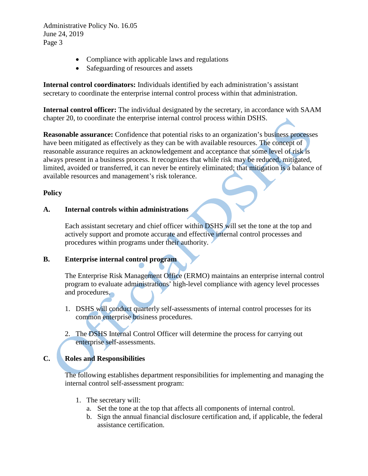Administrative Policy No. 16.05 June 24, 2019 Page 3

- Compliance with applicable laws and regulations
- Safeguarding of resources and assets

**Internal control coordinators:** Individuals identified by each administration's assistant secretary to coordinate the enterprise internal control process within that administration.

**Internal control officer:** The individual designated by the secretary, in accordance with SAAM chapter 20, to coordinate the enterprise internal control process within DSHS.

**Reasonable assurance:** Confidence that potential risks to an organization's business processes have been mitigated as effectively as they can be with available resources. The concept of reasonable assurance requires an acknowledgement and acceptance that some level of risk is always present in a business process. It recognizes that while risk may be reduced, mitigated, limited, avoided or transferred, it can never be entirely eliminated; that mitigation is a balance of available resources and management's risk tolerance.

## **Policy**

### **A. Internal controls within administrations**

Each assistant secretary and chief officer within DSHS will set the tone at the top and actively support and promote accurate and effective internal control processes and procedures within programs under their authority.

### **B. Enterprise internal control program**

The Enterprise Risk Management Office (ERMO) maintains an enterprise internal control program to evaluate administrations' high-level compliance with agency level processes and procedures.

- 1. DSHS will conduct quarterly self-assessments of internal control processes for its common enterprise business procedures.
- 2. The DSHS Internal Control Officer will determine the process for carrying out enterprise self-assessments.

# **C. Roles and Responsibilities**

The following establishes department responsibilities for implementing and managing the internal control self-assessment program:

- 1. The secretary will:
	- a. Set the tone at the top that affects all components of internal control.
	- b. Sign the annual financial disclosure certification and, if applicable, the federal assistance certification.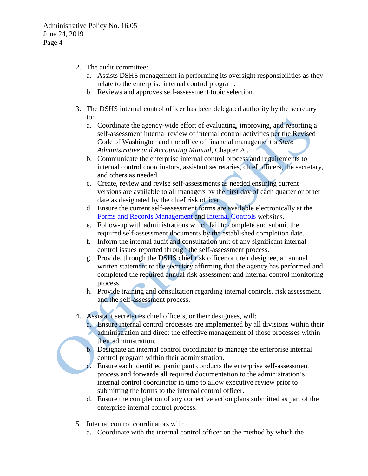- 2. The audit committee:
	- a. Assists DSHS management in performing its oversight responsibilities as they relate to the enterprise internal control program.
	- b. Reviews and approves self-assessment topic selection.
- 3. The DSHS internal control officer has been delegated authority by the secretary to:
	- a. Coordinate the agency-wide effort of evaluating, improving, and reporting a self-assessment internal review of internal control activities per the Revised Code of Washington and the office of financial management's *State Administrative and Accounting Manual*, Chapter 20.
	- b. Communicate the enterprise internal control process and requirements to internal control coordinators, assistant secretaries, chief officers, the secretary, and others as needed.
	- c. Create, review and revise self-assessments as needed ensuring current versions are available to all managers by the first day of each quarter or other date as designated by the chief risk officer.
	- d. Ensure the current self-assessment forms are available electronically at the [Forms and Records Management](http://forms.dshs.wa.lcl/) and [Internal Controls](http://one.dshs.wa.lcl/FS/Loss/Risk/Pages/default.aspx) websites.
	- e. Follow-up with administrations which fail to complete and submit the required self-assessment documents by the established completion date.
	- f. Inform the internal audit and consultation unit of any significant internal control issues reported through the self-assessment process.
	- g. Provide, through the DSHS chief risk officer or their designee, an annual written statement to the secretary affirming that the agency has performed and completed the required annual risk assessment and internal control monitoring process.
	- h. Provide training and consultation regarding internal controls, risk assessment, and the self-assessment process.
- 4. Assistant secretaries chief officers, or their designees, will:
	- a. Ensure internal control processes are implemented by all divisions within their administration and direct the effective management of those processes within their administration.
	- b. Designate an internal control coordinator to manage the enterprise internal control program within their administration.
	- Ensure each identified participant conducts the enterprise self-assessment process and forwards all required documentation to the administration's internal control coordinator in time to allow executive review prior to submitting the forms to the internal control officer.
	- d. Ensure the completion of any corrective action plans submitted as part of the enterprise internal control process.
- 5. Internal control coordinators will:
	- a. Coordinate with the internal control officer on the method by which the